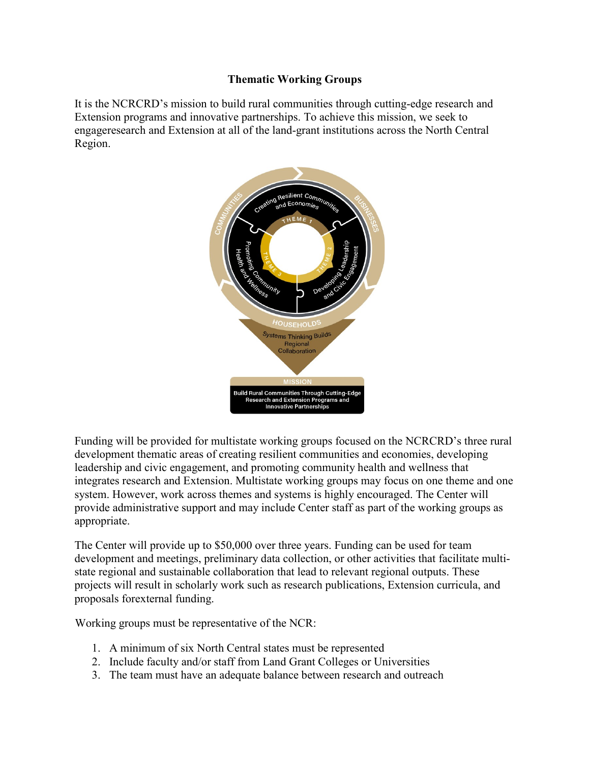## **Thematic Working Groups**

It is the NCRCRD's mission to build rural communities through cutting-edge research and Extension programs and innovative partnerships. To achieve this mission, we seek to engageresearch and Extension at all of the land-grant institutions across the North Central Region.



Funding will be provided for multistate working groups focused on the NCRCRD's three rural development thematic areas of creating resilient communities and economies, developing leadership and civic engagement, and promoting community health and wellness that integrates research and Extension. Multistate working groups may focus on one theme and one system. However, work across themes and systems is highly encouraged. The Center will provide administrative support and may include Center staff as part of the working groups as appropriate.

The Center will provide up to \$50,000 over three years. Funding can be used for team development and meetings, preliminary data collection, or other activities that facilitate multistate regional and sustainable collaboration that lead to relevant regional outputs. These projects will result in scholarly work such as research publications, Extension curricula, and proposals forexternal funding.

Working groups must be representative of the NCR:

- 1. A minimum of six North Central states must be represented
- 2. Include faculty and/or staff from Land Grant Colleges or Universities
- 3. The team must have an adequate balance between research and outreach